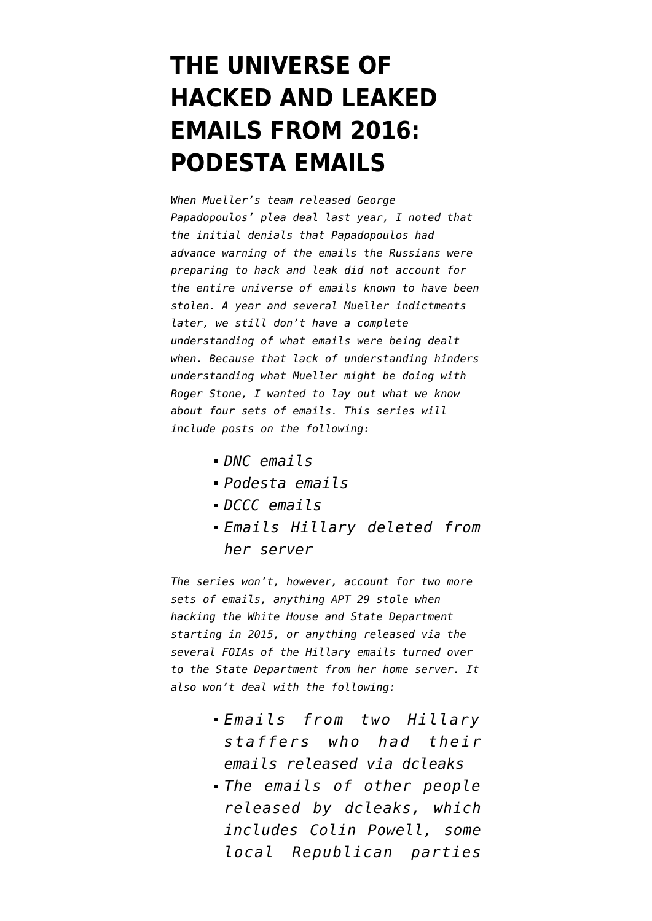# **[THE UNIVERSE OF](https://www.emptywheel.net/2018/10/23/the-universe-of-hacked-and-leaked-emails-from-2016-podesta-emails/) [HACKED AND LEAKED](https://www.emptywheel.net/2018/10/23/the-universe-of-hacked-and-leaked-emails-from-2016-podesta-emails/) [EMAILS FROM 2016:](https://www.emptywheel.net/2018/10/23/the-universe-of-hacked-and-leaked-emails-from-2016-podesta-emails/) [PODESTA EMAILS](https://www.emptywheel.net/2018/10/23/the-universe-of-hacked-and-leaked-emails-from-2016-podesta-emails/)**

*When Mueller's team released George Papadopoulos' plea deal last year, I [noted](https://www.emptywheel.net/2017/10/31/we-have-no-idea-what-emails-the-papadopoulos-plea-refer-to/) that the initial denials that Papadopoulos had advance warning of the emails the Russians were preparing to hack and leak did not account for the entire universe of emails known to have been stolen. A year and several Mueller indictments later, we still don't have a complete understanding of what emails were being dealt when. Because that lack of understanding hinders understanding what Mueller might be doing with Roger Stone, I wanted to lay out what we know about four sets of emails. This series will include posts on the following:*

- *[DNC emails](https://www.emptywheel.net/2018/10/21/the-universe-of-hacked-and-leaked-emails-from-2016-dnc-emails/)*
- *Podesta emails*
- *DCCC emails*
- *Emails Hillary deleted from her server*

*The series won't, however, account for two more sets of emails, anything APT 29 stole when hacking the White House and State Department starting in 2015, or anything released via the several FOIAs of the Hillary emails turned over to the State Department from her home server. It also won't deal with the following:*

- *Emails from two Hillary staffers who had their emails released via dcleaks*
- *The emails of other people released by dcleaks, which includes Colin Powell, some local Republican parties*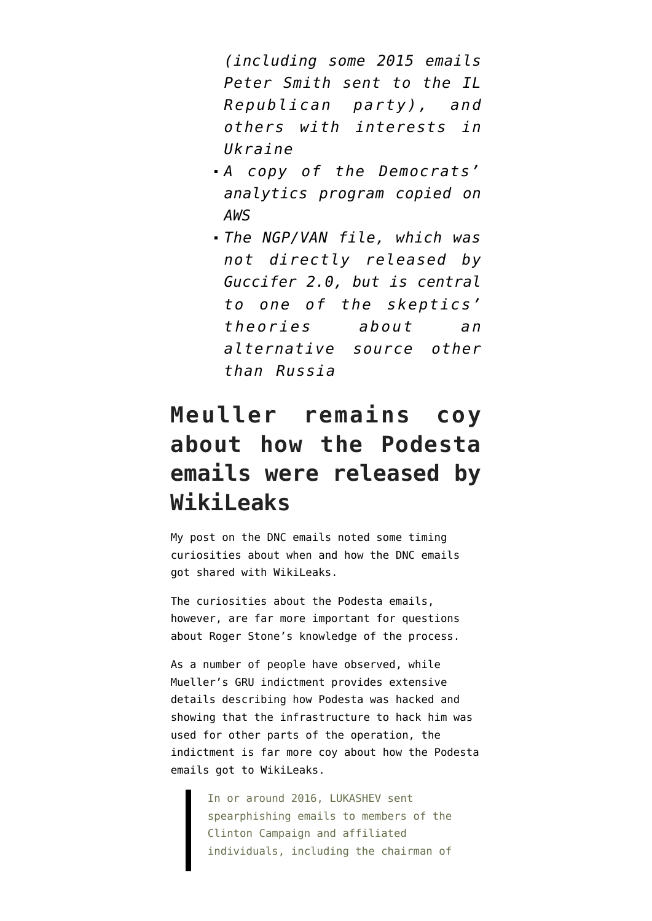*(including some 2015 emails Peter Smith sent to the IL Republican party), and others with interests in Ukraine*

- *A copy of the Democrats' analytics program copied on AWS*
- *The NGP/VAN file, which was not directly released by Guccifer 2.0, but is central to one of the skeptics' theories about an alternative source other than Russia*

## **Meuller remains coy about how the Podesta emails were released by WikiLeaks**

My post on [the DNC emails](https://www.emptywheel.net/2018/10/21/the-universe-of-hacked-and-leaked-emails-from-2016-dnc-emails/) noted some timing curiosities about when and how the DNC emails got shared with WikiLeaks.

The curiosities about the Podesta emails, however, are far more important for questions about Roger Stone's knowledge of the process.

As a number of people have observed, while Mueller's [GRU indictment](https://www.justice.gov/file/1080281/download) provides extensive details describing how Podesta was hacked and showing that the infrastructure to hack him was used for other parts of the operation, the indictment is far more coy about how the Podesta emails got to WikiLeaks.

> In or around 2016, LUKASHEV sent spearphishing emails to members of the Clinton Campaign and affiliated individuals, including the chairman of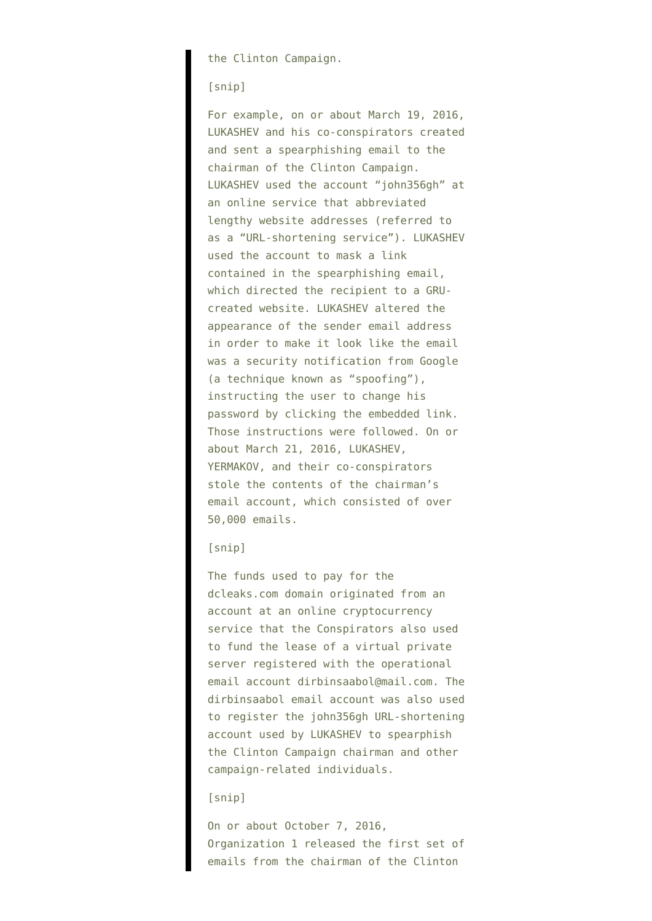the Clinton Campaign.

#### [snip]

For example, on or about March 19, 2016, LUKASHEV and his co-conspirators created and sent a spearphishing email to the chairman of the Clinton Campaign. LUKASHEV used the account "john356gh" at an online service that abbreviated lengthy website addresses (referred to as a "URL-shortening service"). LUKASHEV used the account to mask a link contained in the spearphishing email, which directed the recipient to a GRUcreated website. LUKASHEV altered the appearance of the sender email address in order to make it look like the email was a security notification from Google (a technique known as "spoofing"), instructing the user to change his password by clicking the embedded link. Those instructions were followed. On or about March 21, 2016, LUKASHEV, YERMAKOV, and their co-conspirators stole the contents of the chairman's email account, which consisted of over 50,000 emails.

#### [snip]

The funds used to pay for the dcleaks.com domain originated from an account at an online cryptocurrency service that the Conspirators also used to fund the lease of a virtual private server registered with the operational email account dirbinsaabol@mail.com. The dirbinsaabol email account was also used to register the john356gh URL-shortening account used by LUKASHEV to spearphish the Clinton Campaign chairman and other campaign-related individuals.

#### [snip]

On or about October 7, 2016, Organization 1 released the first set of emails from the chairman of the Clinton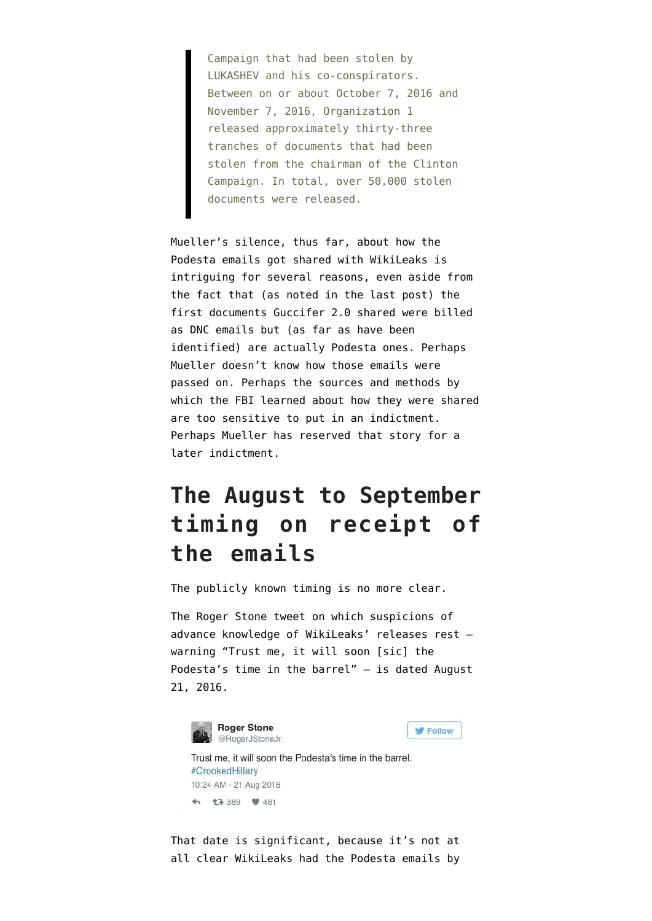Campaign that had been stolen by LUKASHEV and his co-conspirators. Between on or about October 7, 2016 and November 7, 2016, Organization 1 released approximately thirty-three tranches of documents that had been stolen from the chairman of the Clinton Campaign. In total, over 50,000 stolen documents were released.

Mueller's silence, thus far, about how the Podesta emails got shared with WikiLeaks is intriguing for several reasons, even aside from the fact that (as noted in [the last post\)](https://www.emptywheel.net/2018/10/21/the-universe-of-hacked-and-leaked-emails-from-2016-dnc-emails/) the first documents Guccifer 2.0 shared were billed as DNC emails but (as far as have been identified) are actually Podesta ones. Perhaps Mueller doesn't know how those emails were passed on. Perhaps the sources and methods by which the FBI learned about how they were shared are too sensitive to put in an indictment. Perhaps Mueller has reserved that story for a later indictment.

### **The August to September timing on receipt of the emails**

The publicly known timing is no more clear.

The Roger Stone tweet on which suspicions of advance knowledge of WikiLeaks' releases rest warning "Trust me, it will soon [sic] the Podesta's time in the barrel" — is dated August 21, 2016.



That date is significant, because it's not at all clear WikiLeaks had the Podesta emails by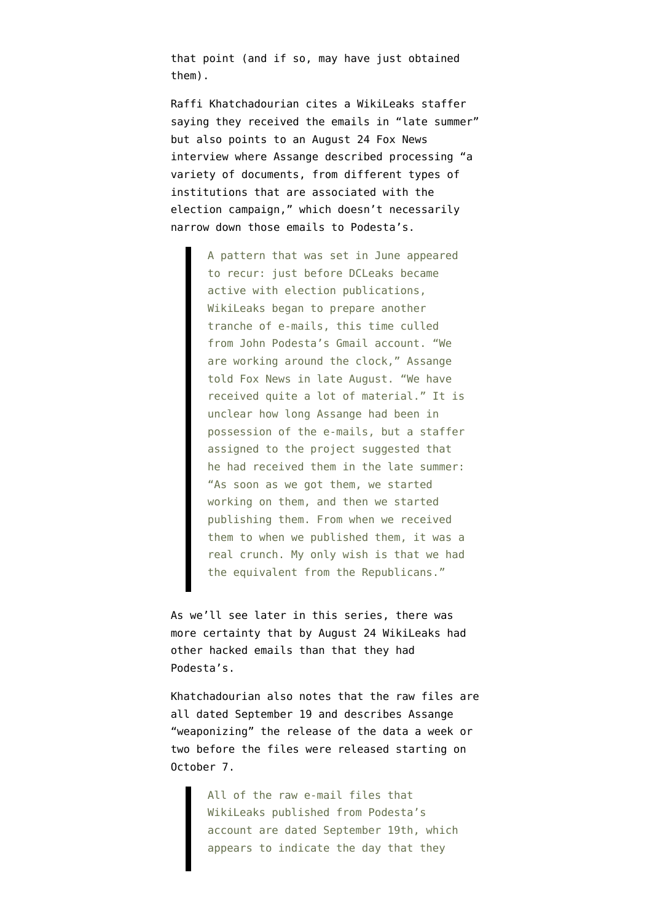that point (and if so, may have just obtained them).

Raffi Khatchadourian [cites](https://www.newyorker.com/magazine/2017/08/21/julian-assange-a-man-without-a-country) a WikiLeaks staffer saying they received the emails in "late summer" but also points to an [August 24 Fox News](https://www.ibtimes.co.uk/assange-wikileaks-will-release-thousands-more-clinton-documents-before-us-election-1577986) [interview](https://www.ibtimes.co.uk/assange-wikileaks-will-release-thousands-more-clinton-documents-before-us-election-1577986) where Assange described processing "a variety of documents, from different types of institutions that are associated with the election campaign," which doesn't necessarily narrow down those emails to Podesta's.

> A pattern that was set in June appeared to recur: just before DCLeaks became active with election publications, WikiLeaks began to prepare another tranche of e-mails, this time culled from John Podesta's Gmail account. "We are working around the clock," Assange told Fox News in late August. "We have received quite a lot of material." It is unclear how long Assange had been in possession of the e-mails, but a staffer assigned to the project suggested that he had received them in the late summer: "As soon as we got them, we started working on them, and then we started publishing them. From when we received them to when we published them, it was a real crunch. My only wish is that we had the equivalent from the Republicans."

As we'll see later in this series, there was more certainty that by August 24 WikiLeaks had other hacked emails than that they had Podesta's.

Khatchadourian also notes that the raw files are all dated September 19 and describes Assange "weaponizing" the release of the data a week or two before the files were released starting on October 7.

> All of the raw e-mail files that WikiLeaks published from Podesta's account are dated September 19th, which appears to indicate the day that they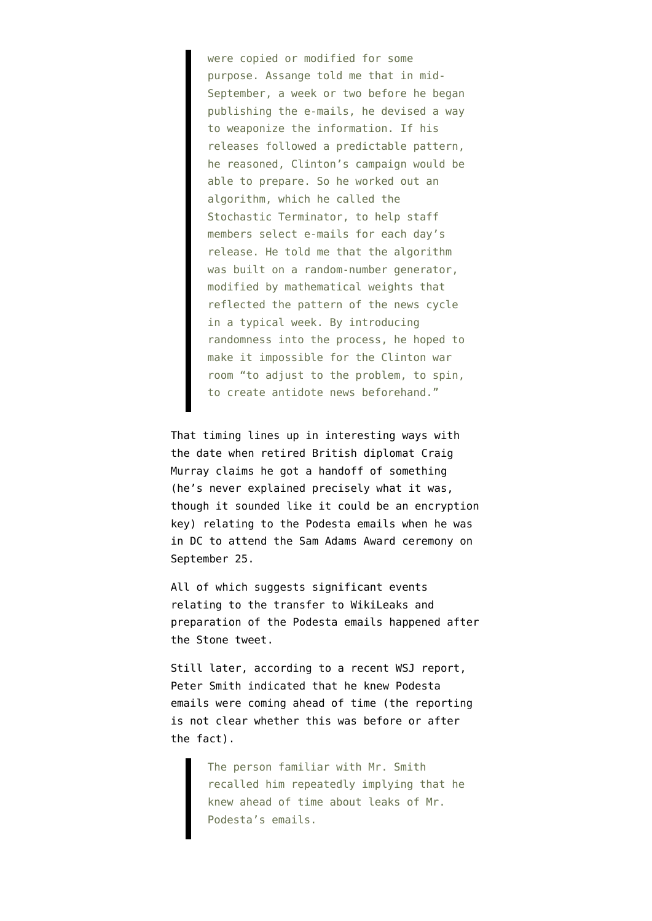were copied or modified for some purpose. Assange told me that in mid-September, a week or two before he began publishing the e-mails, he devised a way to weaponize the information. If his releases followed a predictable pattern, he reasoned, Clinton's campaign would be able to prepare. So he worked out an algorithm, which he called the Stochastic Terminator, to help staff members select e-mails for each day's release. He told me that the algorithm was built on a random-number generator, modified by mathematical weights that reflected the pattern of the news cycle in a typical week. By introducing randomness into the process, he hoped to make it impossible for the Clinton war room "to adjust to the problem, to spin, to create antidote news beforehand."

That timing lines up in interesting ways with the date when retired British diplomat Craig Murray [claims](https://www.dailymail.co.uk/news/article-4034038/Ex-British-ambassador-WikiLeaks-operative-claims-Russia-did-NOT-provide-Clinton-emails-handed-D-C-park-intermediary-disgusted-Democratic-insiders.html) he got a handoff of something (he's never explained precisely what it was, though it sounded like it could be an encryption key) relating to the Podesta emails when he was in DC to attend the [Sam Adams Award ceremony](http://www.johnkiriakou.com/awards/sam-adams-award-for-integrity/) on September 25.

All of which suggests significant events relating to the transfer to WikiLeaks and preparation of the Podesta emails happened after the Stone tweet.

Still later, according to [a recent WSJ report](https://www.wsj.com/articles/mueller-probes-wikileaks-contacts-with-conservative-activists-1539978208), Peter Smith indicated that he knew Podesta emails were coming ahead of time (the reporting is not clear whether this was before or after the fact).

> The person familiar with Mr. Smith recalled him repeatedly implying that he knew ahead of time about leaks of Mr. Podesta's emails.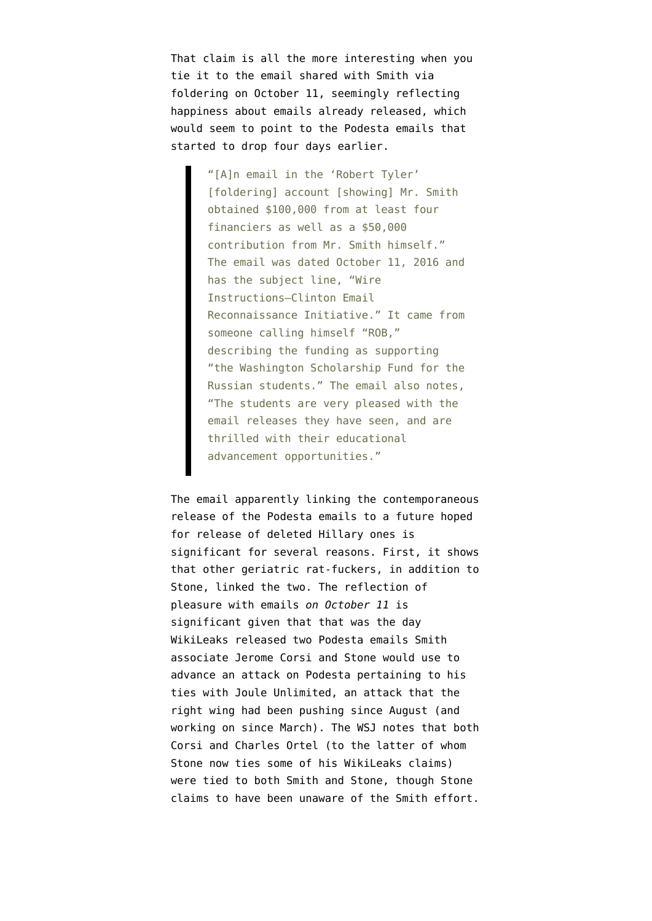That claim is all the more interesting when you tie it to the [email shared with Smith](https://www.wsj.com/articles/gop-operative-secretly-raised-at-least-100-000-in-search-for-clinton-emails-1538913614) via foldering on October 11, seemingly reflecting happiness about emails already released, which would seem to point to the Podesta emails that started to drop four days earlier.

> "[A]n email in the 'Robert Tyler' [foldering] account [showing] Mr. Smith obtained \$100,000 from at least four financiers as well as a \$50,000 contribution from Mr. Smith himself." The email was dated October 11, 2016 and has the subject line, "Wire Instructions—Clinton Email Reconnaissance Initiative." It came from someone calling himself "ROB," describing the funding as supporting "the Washington Scholarship Fund for the Russian students." The email also notes, "The students are very pleased with the email releases they have seen, and are thrilled with their educational advancement opportunities."

The email apparently linking the contemporaneous release of the Podesta emails to a future hoped for release of deleted Hillary ones is significant for several reasons. First, it shows that other geriatric rat-fuckers, in addition to Stone, linked the two. The reflection of pleasure with emails *on October 11* is significant given that that was the day WikiLeaks released two Podesta emails Smith associate Jerome Corsi and Stone would use to advance an attack on Podesta pertaining to his ties with Joule Unlimited, an attack that the right wing had been pushing since August (and working on since March). The WSJ notes that both Corsi and Charles Ortel (to the latter of whom Stone now ties some of his WikiLeaks claims) were tied to both Smith and Stone, though Stone claims to have been unaware of the Smith effort.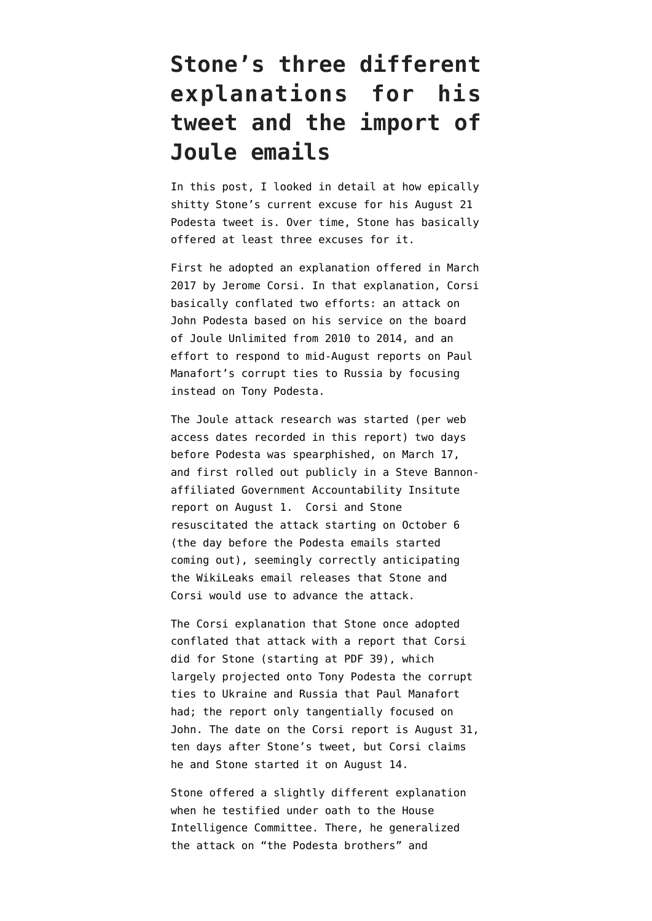## **Stone's three different explanations for his tweet and the import of Joule emails**

In [this post](https://www.emptywheel.net/2018/10/22/detour-roger-stones-epically-shitty-explanation-for-his-podesta-tweet/), I looked in detail at how epically shitty Stone's current excuse for his August 21 Podesta tweet is. Over time, Stone has basically offered at least three excuses for it.

First he adopted an [explanation](https://www.infowars.com/docs-disprove-medias-russianassange-claims-against-stone/) offered in March 2017 by Jerome Corsi. In that explanation, Corsi basically conflated two efforts: an attack on John Podesta based on his service on the board of Joule Unlimited from 2010 to 2014, and an effort to respond to mid-August reports on Paul Manafort's corrupt ties to Russia by focusing instead on Tony Podesta.

The Joule attack research was started (per [web](http://www.g-a-i.org/wp-content/uploads/2016/08/Report-Skolkvovo-08012016-2.pdf) [access dates recorded in this report](http://www.g-a-i.org/wp-content/uploads/2016/08/Report-Skolkvovo-08012016-2.pdf)) two days before Podesta was spearphished, on March 17, and first rolled out publicly in a [Steve Bannon](http://www.g-a-i.org/wp-content/uploads/2016/08/Report-Skolkvovo-08012016-2.pdf)[affiliated Government Accountability Insitute](http://www.g-a-i.org/wp-content/uploads/2016/08/Report-Skolkvovo-08012016-2.pdf) [report](http://www.g-a-i.org/wp-content/uploads/2016/08/Report-Skolkvovo-08012016-2.pdf) on August 1. Corsi and Stone resuscitated the attack starting on October 6 (the day before the Podesta emails started coming out), seemingly correctly anticipating the WikiLeaks email releases that Stone and Corsi would use to advance the attack.

The Corsi explanation that Stone once adopted conflated that attack with a report that Corsi did for Stone ([starting at PDF 39\)](https://www.politico.com/f/?id=0000015e-bb81-db89-a9fe-fba92c2b0001), which largely projected onto Tony Podesta the corrupt ties to Ukraine and Russia that Paul Manafort had; the report only tangentially focused on John. The date on the Corsi report is August 31, ten days after Stone's tweet, but Corsi claims he and Stone started it on August 14.

Stone offered a slightly different explanation when he [testified under oath](https://www.politico.com/f/?id=0000015e-bb81-db89-a9fe-fba92c2b0001) to the House Intelligence Committee. There, he generalized the attack on "the Podesta brothers" and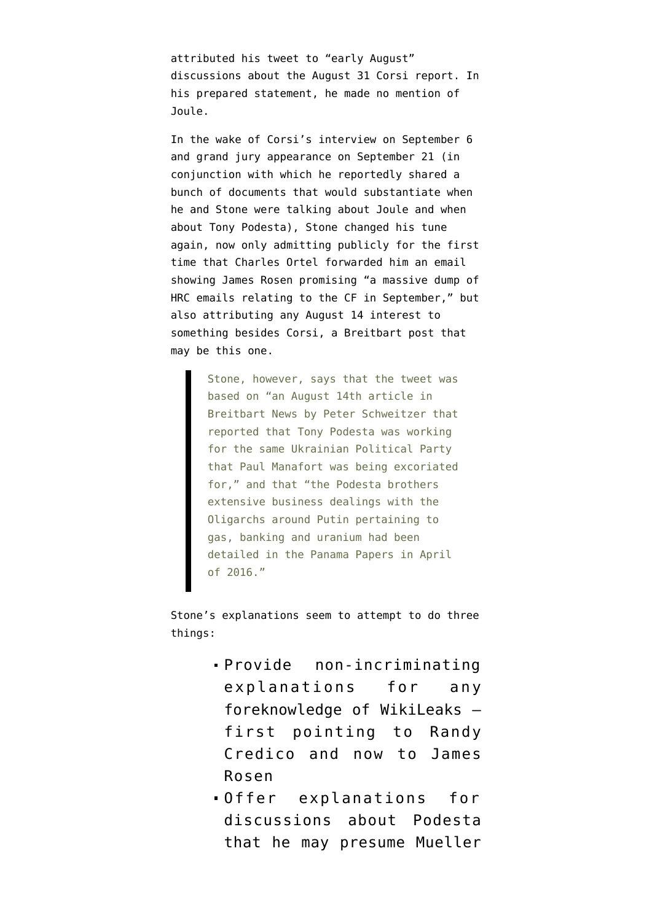attributed his tweet to "early August" discussions about the August 31 Corsi report. In his prepared statement, he made no mention of Joule.

In the wake of Corsi's interview on September 6 and grand jury appearance on September 21 (in conjunction with which he reportedly shared a bunch of documents that would substantiate when he and Stone were talking about Joule and when about Tony Podesta), Stone [changed his tune](https://dailycaller.com/2018/10/22/roger-stone-wikileaks-claim-reporter-email/) [again](https://dailycaller.com/2018/10/22/roger-stone-wikileaks-claim-reporter-email/), now only admitting publicly for the first time that Charles Ortel forwarded him an email showing James Rosen promising "a massive dump of HRC emails relating to the CF in September," but also attributing any August 14 interest to something besides Corsi, a Breitbart post that may [be this one.](https://www.breitbart.com/politics/2016/08/15/paul-manafort-scandal-nothing-next-leon-panettas-russia-ties/)

> Stone, however, says that the tweet was based on "an August 14th article in Breitbart News by Peter Schweitzer that reported that Tony Podesta was working for the same Ukrainian Political Party that Paul Manafort was being excoriated for," and that "the Podesta brothers extensive business dealings with the Oligarchs around Putin pertaining to gas, banking and uranium had been detailed in the Panama Papers in April of 2016."

Stone's explanations seem to attempt to do three things:

- Provide non-incriminating explanations for any foreknowledge of WikiLeaks first pointing to Randy Credico and now to James Rosen
- Offer explanations for discussions about Podesta that he may presume Mueller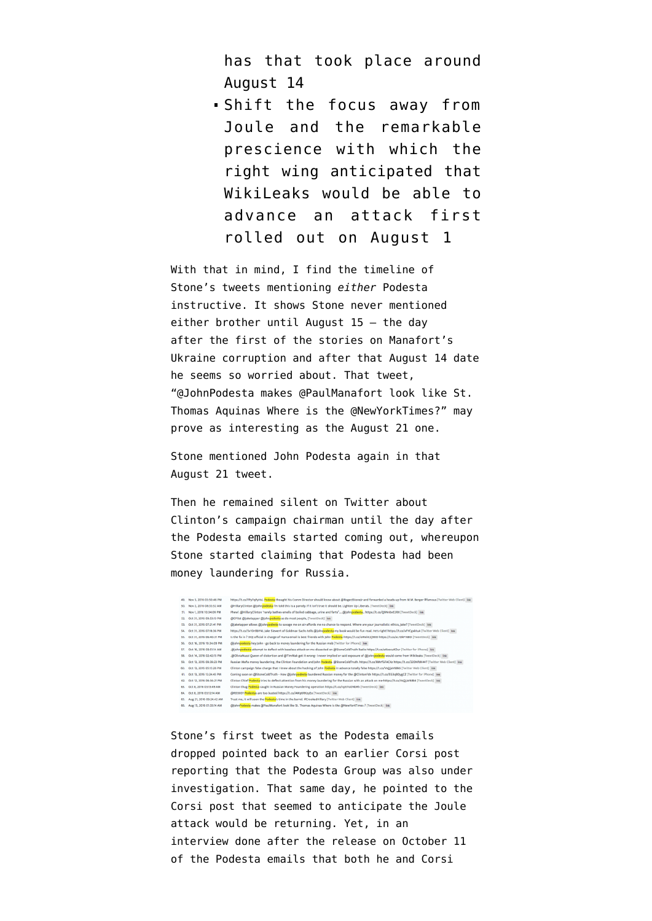has that took place around August 14

Shift the focus away from Joule and the remarkable prescience with which the right wing anticipated that WikiLeaks would be able to advance an attack first rolled out on August 1

With that in mind, I find the [timeline](http://www.trumptwitterarchive.com/archive/account/rogerjstonejr) of Stone's tweets mentioning *either* Podesta instructive. It shows Stone never mentioned either brother until August 15 — the day after [the first of the stories on Manafort's](https://www.nytimes.com/2016/08/15/us/politics/paul-manafort-ukraine-donald-trump.html) [Ukraine corruption](https://www.nytimes.com/2016/08/15/us/politics/paul-manafort-ukraine-donald-trump.html) and after that August 14 date he seems so worried about. That tweet, "@JohnPodesta makes @PaulManafort look like St. Thomas Aquinas Where is the @NewYorkTimes?" may prove as interesting as the August 21 one.

Stone mentioned John Podesta again in that August 21 tweet.

Then he remained silent on Twitter about Clinton's campaign chairman until the day after the Podesta emails started coming out, whereupon Stone started claiming that Podesta had been money laundering for Russia.



Stone's first tweet as the Podesta emails dropped pointed back to an [earlier Corsi](https://www.wnd.com/2016/09/media-neglect-clinton-linked-firms-role-in-russia-scandal/) post reporting that the Podesta Group was also under investigation. That same day, he [pointed to the](https://mobile.wnd.com/2016/10/hillary-campaign-chief-tied-to-russian-money-laundering/) [Corsi post](https://mobile.wnd.com/2016/10/hillary-campaign-chief-tied-to-russian-money-laundering/) that seemed to anticipate the Joule attack would be returning. Yet, in an [interview](https://dailycaller.com/2016/10/12/exclusive-roger-stone-responds-to-podestas-vile-smear-that-he-is-in-cahoots-with-wikileaks/) done after the release on October 11 of the Podesta emails that both he and Corsi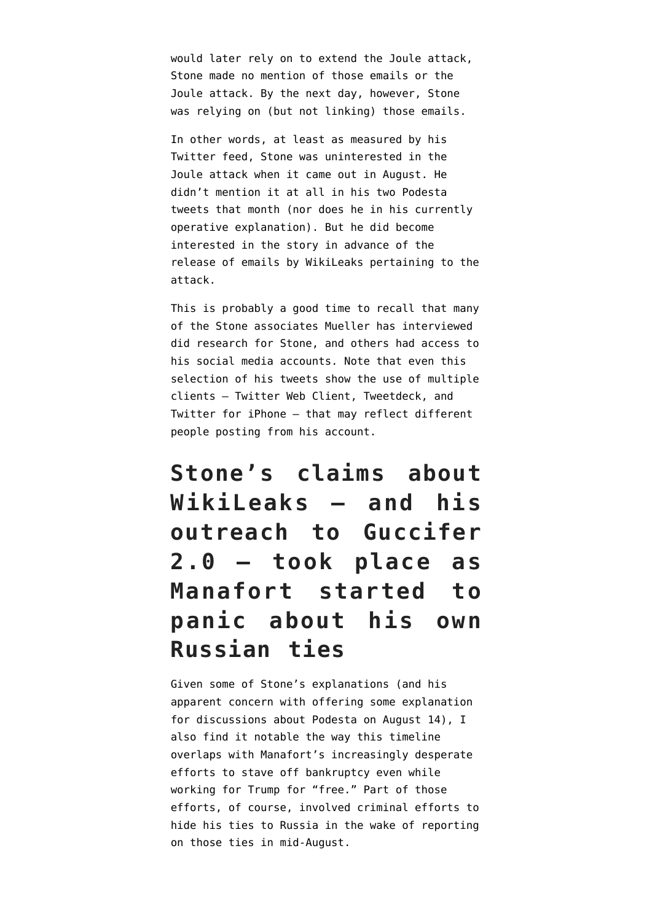would later rely on to extend the Joule attack, Stone made no mention of those emails or the Joule attack. By the next day, however, Stone was relying on (but not linking) those emails.

In other words, at least as measured by his Twitter feed, Stone was uninterested in the Joule attack when it came out in August. He didn't mention it at all in his two Podesta tweets that month (nor does he in his currently operative explanation). But he did become interested in the story in advance of the release of emails by WikiLeaks pertaining to the attack.

This is probably a good time to recall that many of the Stone associates Mueller has interviewed did research for Stone, and others had access to his social media accounts. Note that even this selection of his tweets show the use of multiple clients — Twitter Web Client, Tweetdeck, and Twitter for iPhone — that may reflect different people posting from his account.

**Stone's claims about WikiLeaks — and his outreach to Guccifer 2.0 — took place as Manafort started to panic about his own Russian ties**

Given some of Stone's explanations (and his apparent concern with offering some explanation for discussions about Podesta on August 14), I also find it notable the way this timeline overlaps with Manafort's [increasingly desperate](https://www.emptywheel.net/2018/08/05/august-2016-when-paulies-panic-set-in/) [efforts](https://www.emptywheel.net/2018/08/05/august-2016-when-paulies-panic-set-in/) to stave off bankruptcy even while working for Trump for "free." Part of those efforts, of course, involved criminal efforts to hide his ties to Russia in the wake of reporting on those ties in mid-August.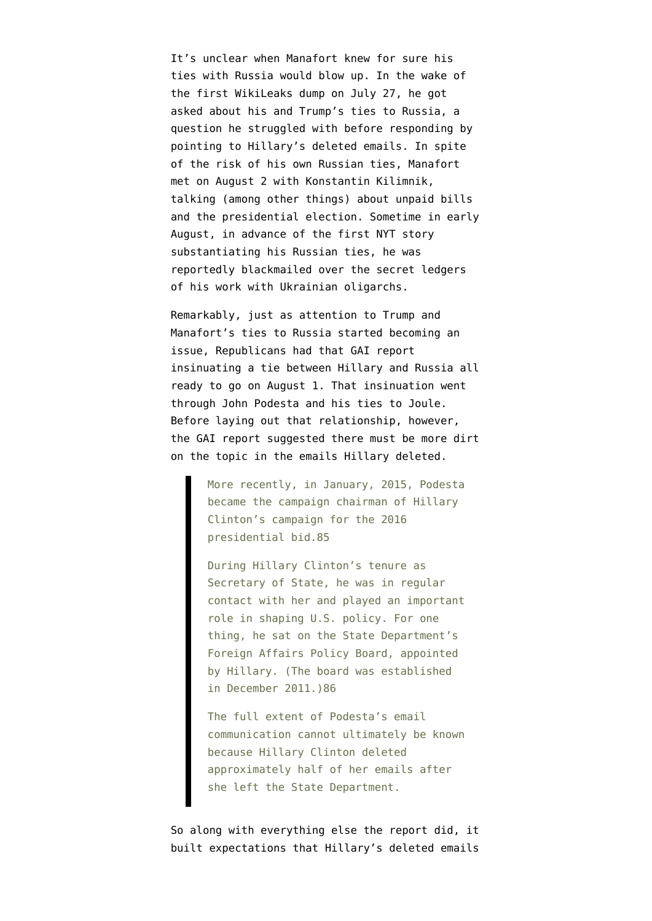It's unclear when Manafort knew for sure his ties with Russia would blow up. In the wake of the first WikiLeaks dump on July 27, he got asked about his and Trump's ties to Russia, a question he struggled with before responding by pointing to Hillary's deleted emails. In spite of the risk of his own Russian ties, Manafort met on August 2 with Konstantin Kilimnik, talking (among other things) about unpaid bills and the presidential election. Sometime in early August, in advance of the first NYT story substantiating his Russian ties, he was reportedly blackmailed over the secret ledgers of his work with Ukrainian oligarchs.

Remarkably, just as attention to Trump and Manafort's ties to Russia started becoming an issue, Republicans had that GAI report insinuating a tie between Hillary and Russia all ready to go on August 1. That insinuation went through John Podesta and his ties to Joule. Before laying out that relationship, however, the GAI [report](http://www.g-a-i.org/wp-content/uploads/2016/08/Report-Skolkvovo-08012016-2.pdf) suggested there must be more dirt on the topic in the emails Hillary deleted.

> More recently, in January, 2015, Podesta became the campaign chairman of Hillary Clinton's campaign for the 2016 presidential bid.85

> During Hillary Clinton's tenure as Secretary of State, he was in regular contact with her and played an important role in shaping U.S. policy. For one thing, he sat on the State Department's Foreign Affairs Policy Board, appointed by Hillary. (The board was established in December 2011.)86

> The full extent of Podesta's email communication cannot ultimately be known because Hillary Clinton deleted approximately half of her emails after she left the State Department.

So along with everything else the report did, it built expectations that Hillary's deleted emails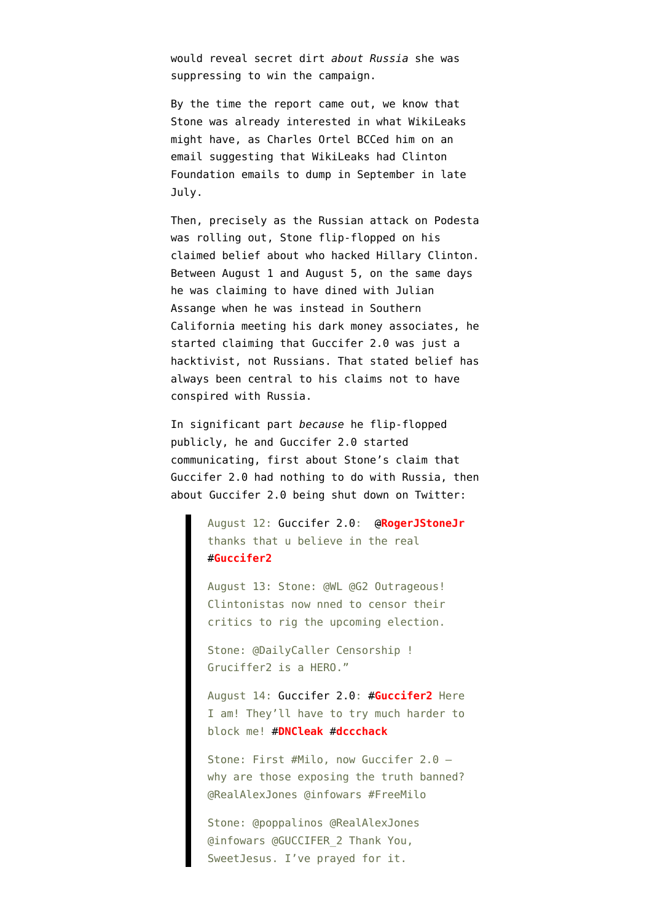would reveal secret dirt *about Russia* she was suppressing to win the campaign.

By the time the report came out, we know that Stone was already interested in what WikiLeaks might have, as [Charles Ortel BCCed him](https://dailycaller.com/2018/10/22/roger-stone-wikileaks-claim-reporter-email/) on an email suggesting that WikiLeaks had Clinton Foundation emails to dump in September in late July.

Then, precisely as the Russian attack on Podesta was rolling out, Stone [flip-flopped](https://www.cnn.com/2018/04/10/politics/roger-stone-2016-comments-russians-wikileaks/index.html) on his claimed belief about who hacked Hillary Clinton. Between August 1 and [August 5](https://www.breitbart.com/2016-presidential-race/2016/08/05/dear-hillary-dnc-hack-solved-so-now-stop-blaming-russia/), on the same days he was claiming to have dined with Julian Assange when he was instead in Southern California meeting his dark money associates, he started claiming that Guccifer 2.0 was just a hacktivist, not Russians. That stated belief has always been central to his claims not to have conspired with Russia.

In significant part *because* he flip-flopped publicly, he and Guccifer 2.0 started communicating, first about Stone's claim that Guccifer 2.0 had nothing to do with Russia, then about Guccifer 2.0 being shut down on Twitter:

> August 12: [Guccifer 2.0:](https://web.archive.org/web/20180212095214/https://twitter.com/GUCCIFER_2/status/764286231643553792) [@](https://web.archive.org/web/20180212095214/https://twitter.com/RogerJStoneJr)**[RogerJStoneJr](https://web.archive.org/web/20180212095214/https://twitter.com/RogerJStoneJr)** thanks that u believe in the real [#](https://web.archive.org/web/20180212095214/https://twitter.com/hashtag/Guccifer2?src=hash)**[Guccifer2](https://web.archive.org/web/20180212095214/https://twitter.com/hashtag/Guccifer2?src=hash)**

August 13: Stone: @WL @G2 Outrageous! Clintonistas now nned to censor their critics to rig the upcoming election.

Stone: @DailyCaller Censorship ! Gruciffer2 is a HERO."

August 14: [Guccifer 2.0:](https://web.archive.org/web/20160814172821/https://twitter.com/GUCCIFER_2/status/764868759685398528) [#](https://web.archive.org/web/20160814172821/https://twitter.com/hashtag/Guccifer2?src=hash)**[Guccifer2](https://web.archive.org/web/20160814172821/https://twitter.com/hashtag/Guccifer2?src=hash)** Here I am! They'll have to try much harder to block me! [#](https://web.archive.org/web/20160814172821/https://twitter.com/hashtag/DNCleak?src=hash)**[DNCleak](https://web.archive.org/web/20160814172821/https://twitter.com/hashtag/DNCleak?src=hash)** [#](https://web.archive.org/web/20160814172821/https://twitter.com/hashtag/dccchack?src=hash)**[dccchack](https://web.archive.org/web/20160814172821/https://twitter.com/hashtag/dccchack?src=hash)**

Stone: First #Milo, now Guccifer 2.0 – why are those exposing the truth banned? @RealAlexJones @infowars #FreeMilo

Stone: @poppalinos @RealAlexJones @infowars @GUCCIFER\_2 Thank You, SweetJesus. I've prayed for it.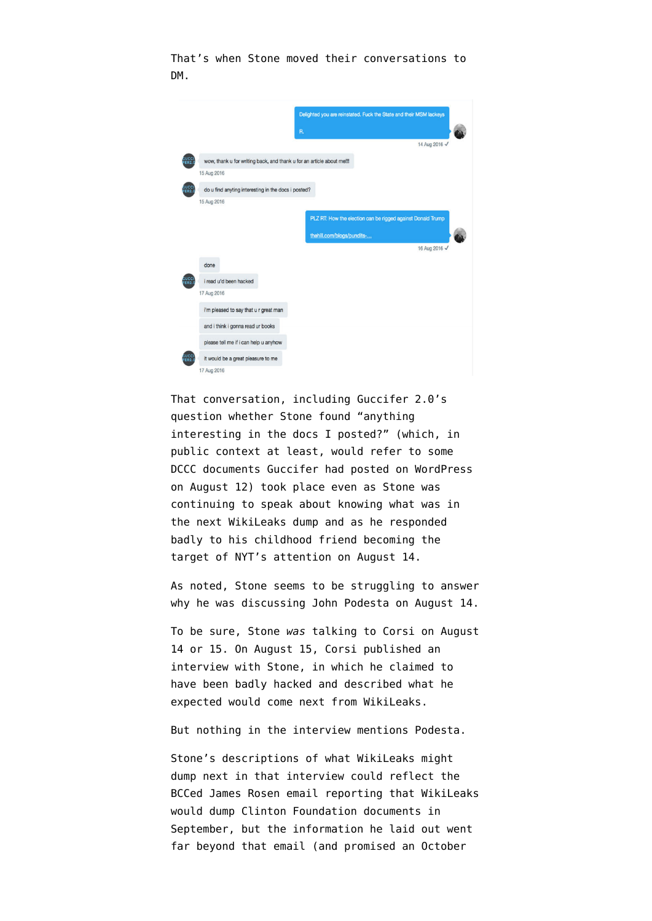That's when Stone moved their conversations to DM.



That conversation, including Guccifer 2.0's question whether Stone found "anything interesting in the docs I posted?" (which, in public context at least, would refer to [some](https://guccifer2.wordpress.com/2016/08/12/guccifer-2-0-hacked-dccc/) [DCCC documents Guccifer had posted on WordPress](https://guccifer2.wordpress.com/2016/08/12/guccifer-2-0-hacked-dccc/) [on August 12](https://guccifer2.wordpress.com/2016/08/12/guccifer-2-0-hacked-dccc/)) took place even as Stone was continuing to speak about knowing what was in the next WikiLeaks dump and as he responded badly to his childhood friend becoming the target of NYT's attention on August 14.

As noted, Stone seems to be struggling to answer why he was discussing John Podesta on August 14.

To be sure, Stone *was* talking to Corsi on August 14 or 15. On August 15, Corsi [published an](https://mobile.wnd.com/2016/08/trump-adviser-wikileaks-plotting-email-dump-to-derail-hillary/) [interview](https://mobile.wnd.com/2016/08/trump-adviser-wikileaks-plotting-email-dump-to-derail-hillary/) with Stone, in which he claimed to have been badly hacked and described what he expected would come next from WikiLeaks.

But nothing in the interview mentions Podesta.

Stone's descriptions of what WikiLeaks might dump next in that interview could reflect the BCCed James Rosen email reporting that WikiLeaks would dump Clinton Foundation documents in September, but the information he laid out went far beyond that email (and promised an October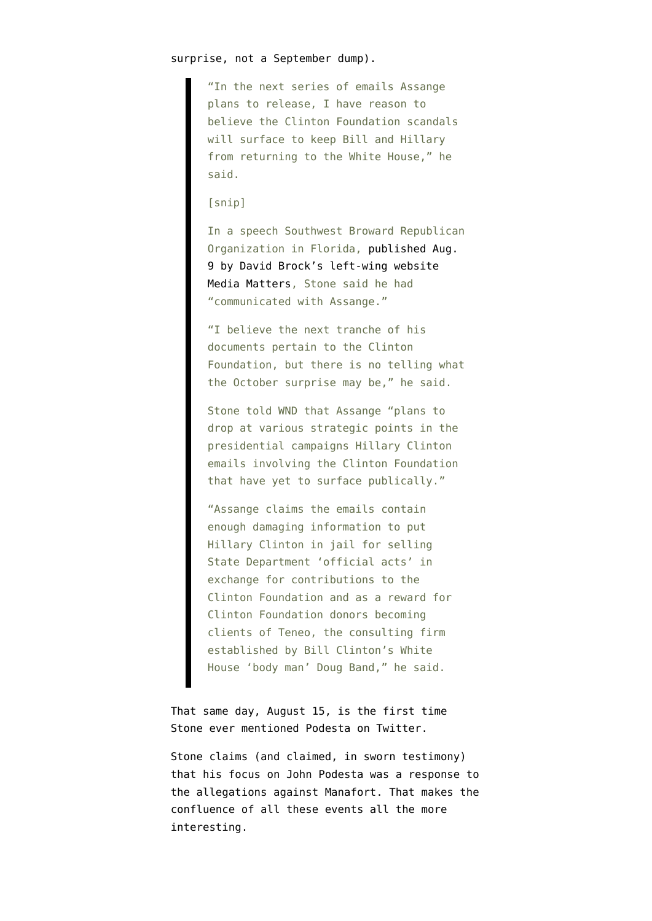"In the next series of emails Assange plans to release, I have reason to believe the Clinton Foundation scandals will surface to keep Bill and Hillary from returning to the White House," he said.

#### [snip]

In a speech Southwest Broward Republican Organization in Florida, [published Aug.](https://mediamatters.org/video/2016/08/09/roger-stone-confirms-hes-communication-julian-assange/212261) [9 by David Brock's left-wing website](https://mediamatters.org/video/2016/08/09/roger-stone-confirms-hes-communication-julian-assange/212261) [Media Matters,](https://mediamatters.org/video/2016/08/09/roger-stone-confirms-hes-communication-julian-assange/212261) Stone said he had "communicated with Assange."

"I believe the next tranche of his documents pertain to the Clinton Foundation, but there is no telling what the October surprise may be," he said.

Stone told WND that Assange "plans to drop at various strategic points in the presidential campaigns Hillary Clinton emails involving the Clinton Foundation that have yet to surface publically."

"Assange claims the emails contain enough damaging information to put Hillary Clinton in jail for selling State Department 'official acts' in exchange for contributions to the Clinton Foundation and as a reward for Clinton Foundation donors becoming clients of Teneo, the consulting firm established by Bill Clinton's White House 'body man' Doug Band," he said.

That same day, August 15, is the first time Stone ever mentioned Podesta on Twitter.

Stone claims (and claimed, in sworn testimony) that his focus on John Podesta was a response to the allegations against Manafort. That makes the confluence of all these events all the more interesting.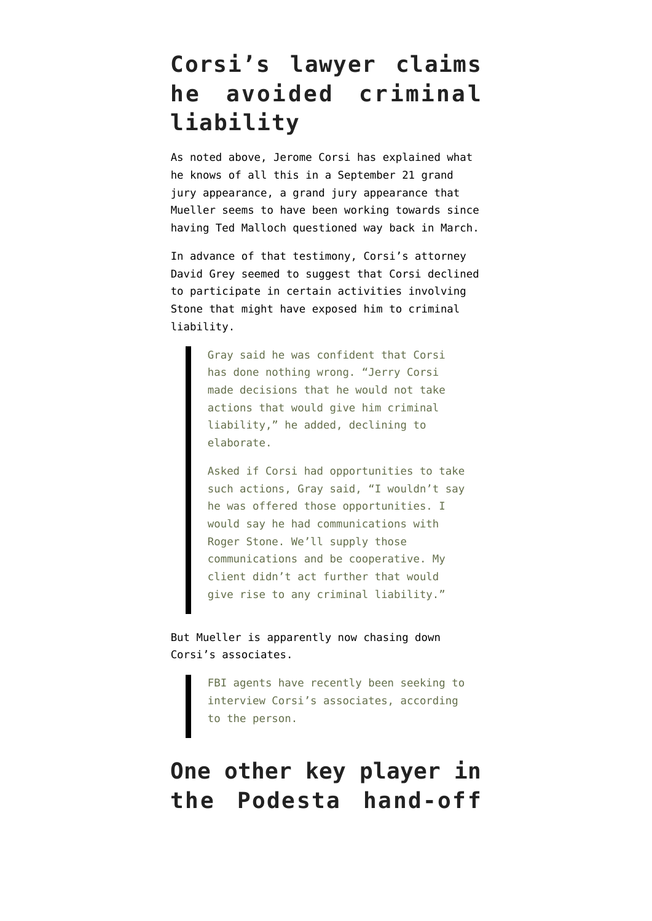## **Corsi's lawyer claims he avoided criminal liability**

As noted above, Jerome Corsi has explained what he knows of all this in a September 21 grand jury appearance, a grand jury appearance that Mueller seems to have been working towards since having [Ted Malloch questioned](https://www.nbcnews.com/politics/white-house/trump-ally-detained-served-mueller-subpoena-boston-airport-n861456) way back in March.

In advance of that testimony, Corsi's attorney David Grey [seemed to suggest](https://www.washingtonpost.com/politics/stone-associate-jerome-corsi-subpoenaed-to-appear-friday-before-mueller-grand-jury/2018/09/05/204a9ee0-b134-11e8-a20b-5f4f84429666_story.html) that Corsi declined to participate in certain activities involving Stone that might have exposed him to criminal liability.

> Gray said he was confident that Corsi has done nothing wrong. "Jerry Corsi made decisions that he would not take actions that would give him criminal liability," he added, declining to elaborate.

Asked if Corsi had opportunities to take such actions, Gray said, "I wouldn't say he was offered those opportunities. I would say he had communications with Roger Stone. We'll supply those communications and be cooperative. My client didn't act further that would give rise to any criminal liability."

But Mueller is apparently now [chasing down](https://www.washingtonpost.com/politics/special-counsel-examines-conflicting-accounts-as-scrutiny-of-roger-stone-and-wikileaks-deepens/2018/10/21/db9ab1c2-bde5-11e8-be70-52bd11fe18af_story.html) Corsi's associates.

> FBI agents have recently been seeking to interview Corsi's associates, according to the person.

## **One other key player in the Podesta hand-off**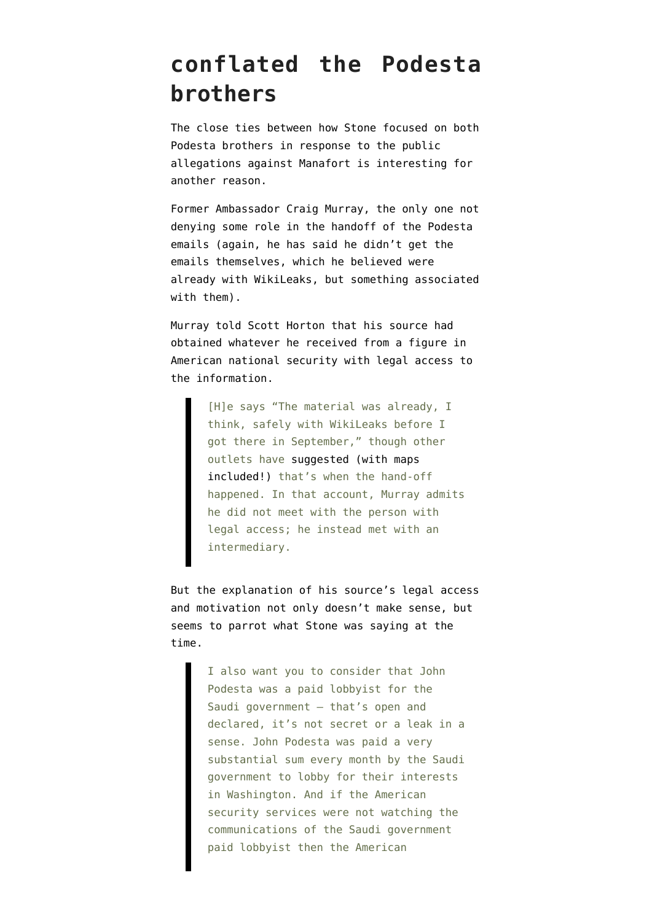#### **conflated the Podesta brothers**

The close ties between how Stone focused on both Podesta brothers in response to the public allegations against Manafort is interesting for another reason.

Former Ambassador Craig Murray, the only one not denying some role in the handoff of the Podesta emails (again, he has said he didn't get the emails themselves, which he believed were already with WikiLeaks, but something associated with them).

Murray [told Scott Horton](https://www.libertarianinstitute.org/scotthortonshow/121316-craig-murray-dnc-podesta-emails-leaked-americans-not-hacked-russia/) that his source had obtained whatever he received from a figure in American national security with legal access to the information.

> [H]e says "The material was already, I think, safely with WikiLeaks before I got there in September," though other outlets have [suggested \(with maps](http://www.dailymail.co.uk/news/article-4034038/Ex-British-ambassador-WikiLeaks-operative-claims-Russia-did-NOT-provide-Clinton-emails-handed-D-C-park-intermediary-disgusted-Democratic-insiders.html) [included!\)](http://www.dailymail.co.uk/news/article-4034038/Ex-British-ambassador-WikiLeaks-operative-claims-Russia-did-NOT-provide-Clinton-emails-handed-D-C-park-intermediary-disgusted-Democratic-insiders.html) that's when the hand-off happened. In that account, Murray admits he did not meet with the person with legal access; he instead met with an intermediary.

But the explanation of his source's legal access and motivation not only doesn't make sense, but seems to parrot what Stone was saying at the time.

> I also want you to consider that John Podesta was a paid lobbyist for the Saudi government — that's open and declared, it's not secret or a leak in a sense. John Podesta was paid a very substantial sum every month by the Saudi government to lobby for their interests in Washington. And if the American security services were not watching the communications of the Saudi government paid lobbyist then the American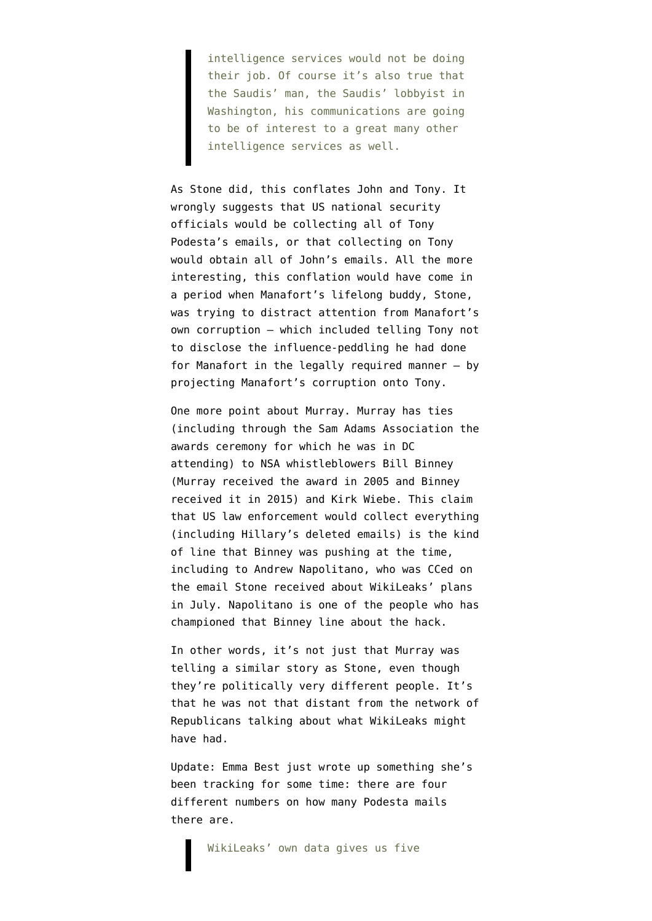intelligence services would not be doing their job. Of course it's also true that the Saudis' man, the Saudis' lobbyist in Washington, his communications are going to be of interest to a great many other intelligence services as well.

As Stone did, this conflates John and Tony. It wrongly suggests that US national security officials would be collecting all of Tony Podesta's emails, or that collecting on Tony would obtain all of John's emails. All the more interesting, this conflation would have come in a period when Manafort's lifelong buddy, Stone, was trying to distract attention from Manafort's own corruption — which included telling Tony not to disclose the influence-peddling he had done for Manafort in the legally required manner — by projecting Manafort's corruption onto Tony.

One more point about Murray. Murray has ties ([including through the Sam Adams Association](http://samadamsaward.ch/#) the awards ceremony for which he was in DC attending) to NSA whistleblowers Bill Binney (Murray received the award in 2005 and Binney received it in 2015) and Kirk Wiebe. This claim that US law enforcement would collect everything (including Hillary's deleted emails) is the kind of line that Binney was pushing at the time, including [to Andrew Napolitano,](http://insider.foxnews.com/2016/08/02/former-nsa-official-claims-agency-hacked-dnc-not-russia-judge-napolitano-reacts) who was CCed on the email Stone received about WikiLeaks' plans in July. Napolitano is one of the people who has championed that Binney line about the hack.

In other words, it's not just that Murray was telling a similar story as Stone, even though they're politically very different people. It's that he was not that distant from the network of Republicans talking about what WikiLeaks might have had.

Update: Emma Best [just wrote up](https://emma.best/2018/10/26/how-many-podesta-emails-are-there-and-why-is-wikileaks-entire-raw-dataset-incomplete/) something she's been tracking for some time: there are four different numbers on how many Podesta mails there are.

WikiLeaks' own data gives us five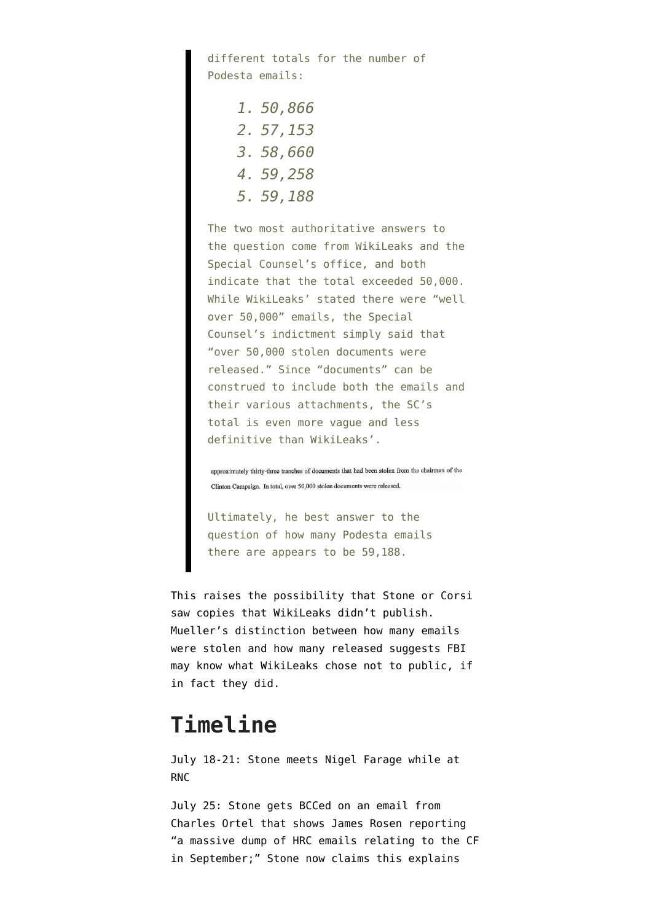different totals for the number of Podesta emails:

> *1. 50,866 2. 57,153 3. 58,660 4. 59,258 5. 59,188*

The two most authoritative answers to the question come from WikiLeaks and the Special Counsel's office, and both indicate that the total exceeded 50,000. While WikiLeaks' stated there were "well over 50,000" emails, the Special Counsel's indictment simply said that "over 50,000 stolen documents were released." Since "documents" can be construed to include both the emails and their various attachments, the SC's total is even more vague and less definitive than WikiLeaks'.

approximately thirty-three tranches of documents that had been stolen from the chairman of the Clinton Campaign. In total, over 50,000 stolen documents were released.

Ultimately, he best answer to the question of how many Podesta emails there are appears to be 59,188.

This raises the possibility that Stone or Corsi saw copies that WikiLeaks didn't publish. Mueller's distinction between how many emails were stolen and how many released suggests FBI may know what WikiLeaks chose not to public, if in fact they did.

#### **Timeline**

July 18-21: Stone meets Nigel Farage while at RNC

July 25: Stone gets BCCed on an email from Charles Ortel that shows James Rosen reporting "a massive dump of HRC emails relating to the CF in September;" Stone now [claims](https://dailycaller.com/2018/10/22/roger-stone-wikileaks-claim-reporter-email/) this explains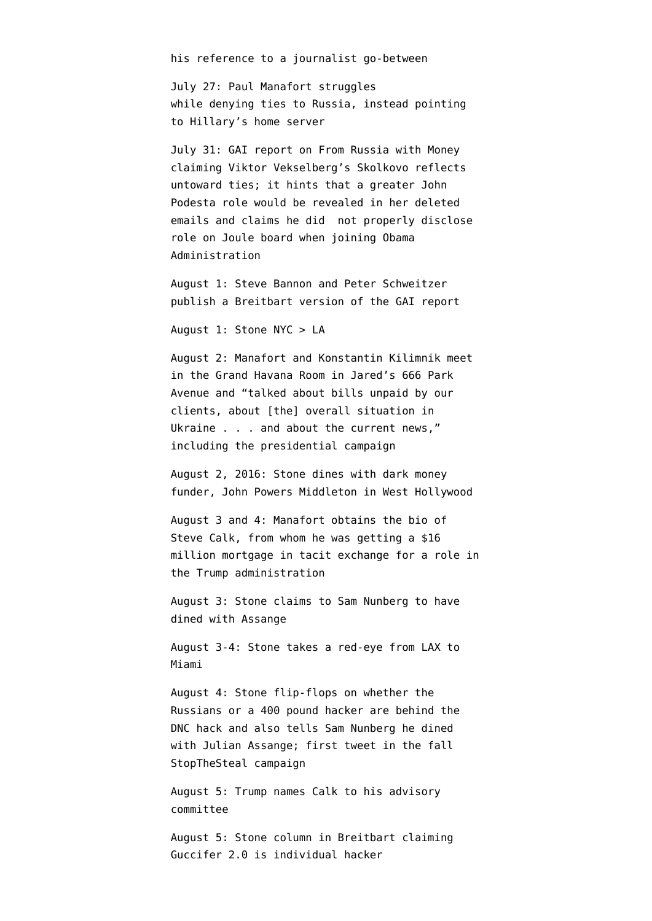his reference to a journalist go-between

July 27: Paul Manafort struggles while [denying](https://www.youtube.com/watch?v=923SiDdLSic) ties to Russia, instead pointing to Hillary's home server

July 31: GAI [report](http://www.g-a-i.org/wp-content/uploads/2016/08/Report-Skolkvovo-08012016-2.pdf) on From Russia with Money claiming Viktor Vekselberg's Skolkovo reflects untoward ties; it hints that a greater John Podesta role would be revealed in her deleted emails and claims he did not properly disclose role on Joule board when joining Obama Administration

August 1: Steve Bannon and Peter Schweitzer [publish](https://www.breitbart.com/politics/2016/08/01/report-hillary-clintons-campaign-mgr-john-podesta-sat-board-company-bagged-35-million-putin-connected-russian-govt-fund-2/) a Breitbart version of the GAI report

August 1: Stone NYC > LA

August 2: Manafort and Konstantin Kilimnik [meet](https://www.washingtonpost.com/politics/at-height-of-russia-tensions-trump-campaign-chairman-manafort-met-with-business-associate-from-ukraine/2017/06/18/6ab8485c-4c5d-11e7-a186-60c031eab644_story.html) in the Grand Havana Room in Jared's 666 Park Avenue and "talked about bills unpaid by our clients, about [the] overall situation in Ukraine . . . and about the current news," including the presidential campaign

August 2, 2016: Stone [dines](https://artvoice.com/2018/04/03/roger-stone-pushes-back-wall-street-journal-wikileaks-dinner-charge/#.W3nKR4opDmo) with dark money funder, John Powers Middleton in West Hollywood

August 3 and 4: Manafort [obtains](https://www.politico.com/f/?id=00000164-b049-d929-a5e4-b2f9d8e80000) the bio of Steve Calk, from whom he was getting a \$16 million mortgage in tacit exchange for a role in the Trump administration

August 3: Stone claims to Sam Nunberg to have dined with Assange

August 3-4: Stone takes a red-eye from LAX to Miami

August 4: Stone [flip-flops](https://www.cnn.com/2018/04/10/politics/roger-stone-2016-comments-russians-wikileaks/index.html) on whether the Russians or a 400 pound hacker are behind the DNC hack and also tells Sam Nunberg he dined with Julian Assange; [first tweet](http://www.trumptwitterarchive.com/archive/account/rogerjstonejr) in the fall StopTheSteal campaign

August 5: Trump names Calk to his advisory committee

August 5: Stone [column](https://www.breitbart.com/2016-presidential-race/2016/08/05/dear-hillary-dnc-hack-solved-so-now-stop-blaming-russia/) in Breitbart claiming Guccifer 2.0 is individual hacker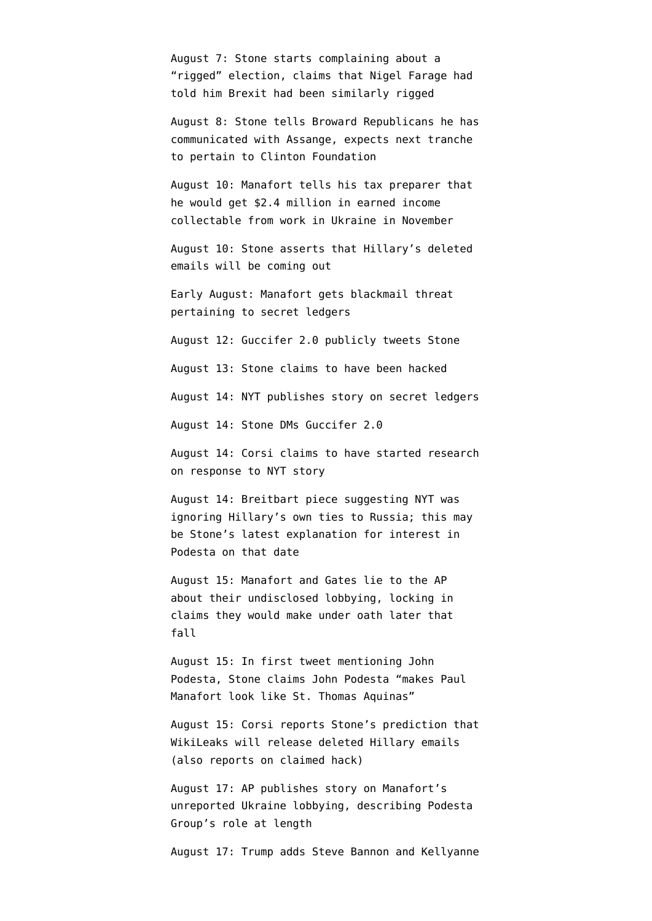August 7: Stone starts complaining about a "rigged" election, claims that Nigel Farage had told him Brexit had been similarly rigged

August 8: Stone tells Broward Republicans he has communicated with Assange, expects next tranche to pertain to Clinton Foundation

August 10: Manafort tells his tax preparer that he would [get \\$2.4 million in earned income](https://www.emptywheel.net/wp-content/uploads/2018/08/175-2016.08.11-Email-C.-Laporta-to-P.-Manafort-re-377-Union-St-loan_Redacted.pdf) collectable from work in Ukraine in November

August 10: Stone [asserts](https://www.youtube.com/watch?v=6gM_cyROnto) that Hillary's deleted emails will be coming out

Early August: Manafort [gets blackmail threat](https://www.politico.com/story/2017/02/paul-manafort-blackmail-russia-trump-235275) pertaining to secret ledgers

August 12: Guccifer 2.0 publicly [tweets](https://web.archive.org/GUCCIFER_2/status/764868759685398528) Stone

August 13: Stone claims to have been hacked

August 14: NYT [publishes](https://www.nytimes.com/2016/08/15/us/politics/paul-manafort-ukraine-donald-trump.html) story on secret ledgers

August 14: Stone DMs Guccifer 2.0

August 14: Corsi claims to have started research on response to NYT story

August 14: Breitbart [piece](https://www.breitbart.com/politics/2016/08/15/paul-manafort-scandal-nothing-next-leon-panettas-russia-ties/) suggesting NYT was ignoring Hillary's own ties to Russia; this may be Stone's latest explanation for interest in Podesta on that date

August 15: Manafort and Gates [lie to the AP](https://assets.documentcloud.org/documents/4616568/Response-to-motion.pdf) about their undisclosed lobbying, locking in claims they would make under oath later that fall

August 15: In first tweet mentioning John Podesta, Stone claims John Podesta "makes Paul Manafort look like St. Thomas Aquinas"

August 15: Corsi [reports](https://mobile.wnd.com/2016/08/trump-adviser-wikileaks-plotting-email-dump-to-derail-hillary/) Stone's prediction that WikiLeaks will release deleted Hillary emails (also reports on claimed hack)

August 17: AP [publishes story](https://www.businessinsider.com/ap-paul-manafort-undisclosed-foreign-lobbying-for-pro-russia-political-party-in-ukraine-2016-8) on Manafort's unreported Ukraine lobbying, describing Podesta Group's role at length

August 17: Trump [adds](https://www.cnbc.com/2016/08/17/donald-trump-hands-kellyanne-conway-steve-bannon-new-roles-in-campaign.html) Steve Bannon and Kellyanne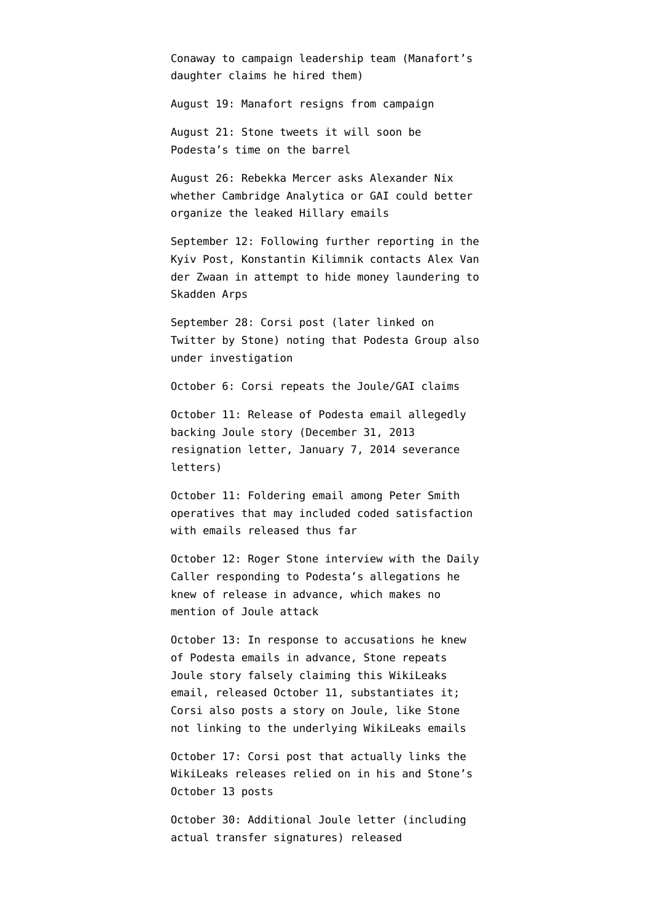Conaway to campaign leadership team (Manafort's daughter [claims](https://twitter.com/TheViewFromLL2/status/844587922452074496) he hired them)

August 19: Manafort resigns from campaign

August 21: Stone tweets it will soon be Podesta's time on the barrel

August 26: Rebekka Mercer [asks](https://www.wsj.com/articles/trump-donor-asked-data-firm-if-it-could-better-organize-hacked-emails-1509133587) Alexander Nix whether Cambridge Analytica or GAI could better organize the leaked Hillary emails

September 12: Following further reporting in the [Kyiv Post,](https://www.kyivpost.com/article/content/ukraine-politics/memo-manafort-worked-on-report-that-justified-tymoshenko-imprisonment-421671.html) Konstantin Kilimnik [contacts](https://www.courtlistener.com/recap/gov.uscourts.dcd.193647/gov.uscourts.dcd.193647.19.0.pdf) Alex Van der Zwaan in attempt to hide money laundering to Skadden Arps

September 28: [Corsi post](https://www.wnd.com/2016/09/media-neglect-clinton-linked-firms-role-in-russia-scandal/) (later linked on Twitter by Stone) noting that Podesta Group also under investigation

October 6: Corsi [repeats](https://www.wnd.com/2016/10/hillary-campaign-chief-tied-to-russian-money-laundering/) the Joule/GAI claims

October 11: Release of Podesta email allegedly backing Joule story [\(December 31, 2013](https://wikileaks.org/podesta-emails/emailid/4221) [resignation letter,](https://wikileaks.org/podesta-emails/emailid/4221) [January 7, 2014 severance](https://wikileaks.org/podesta-emails/emailid/4635) [letters\)](https://wikileaks.org/podesta-emails/emailid/4635)

October 11: Foldering email among Peter Smith operatives that may included coded satisfaction with emails released thus far

October 12: Roger Stone [interview](https://dailycaller.com/2016/10/12/exclusive-roger-stone-responds-to-podestas-vile-smear-that-he-is-in-cahoots-with-wikileaks/) with the Daily Caller responding to Podesta's allegations he knew of release in advance, which makes no mention of Joule attack

October 13: In response to accusations he knew of Podesta emails in advance, Stone repeats Joule story falsely claiming [this WikiLeaks](https://wikileaks.org/podesta-emails/emailid/4635) [email](https://wikileaks.org/podesta-emails/emailid/4635), released October 11, substantiates it; Corsi also [posts](https://www.wnd.com/2016/10/hillary-campaign-chief-linked-to-money-laundering-in-russia/) a story on Joule, like Stone not linking to the underlying WikiLeaks emails

October 17: Corsi [post](https://www.wnd.com/2016/10/how-hillarys-campaign-chief-hid-money-from-russia/) that actually links the WikiLeaks releases relied on in his and Stone's October 13 posts

October 30: Additional Joule letter (including actual transfer signatures) [released](https://wikileaks.org/podesta-emails/emailid/37221)